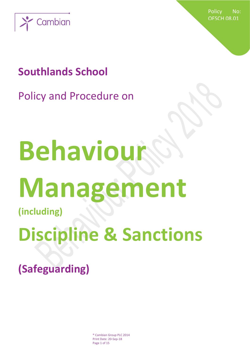

Policy No: OFSCH 08.01

## **Southlands School**

Policy and Procedure on

# **Behaviou Management**

**(including)**

## **Discipline & Sanctions**

**(Safeguarding)**

® Cambian Group PLC 2014 Print Date: 20-Sep-18 Page 1 of 15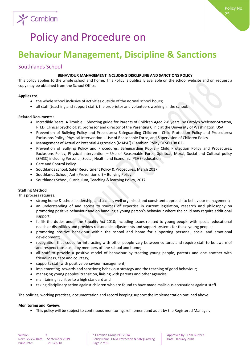

## Policy and Procedure on

### **Behaviour Management, Discipline & Sanctions**

#### Southlands School

#### **BEHAVIOUR MANAGEMENT INCLUDING DISCLIPLINE AND SANCTIONS POLICY**

This policy applies to the whole school and home. This Policy is publically available on the school website and on request a copy may be obtained from the School Office.

#### **Applies to:**

- the whole school inclusive of activities outside of the normal school hours;
- all staff (teaching and support staff), the proprietor and volunteers working in the school.

#### **Related Documents:**

- Incredible Years, A Trouble Shooting guide for Parents of Children Aged 2-8 years, by Carolyn Webster-Stratton, PH.D. Clinical psychologist, professor and director of the Parenting Clinic at the University of Washington, USA.
- Prevention of Bullying Policy and Procedures; Safeguarding Children Child Protection Policy and Procedures; Exclusions Policy; Physical Intervention – Use of Reasonable Force, and Supervision of Children Policy.
- Management of Actual or Potential Aggression (MAPA®) (Cambian Policy OFSCH 08.02)
- Prevention of Bullying Policy and Procedures, Safeguarding Pupils Child Protection Policy and Procedures, Exclusions Policy, Physical Intervention – Use of Reasonable Force, Spiritual, Moral, Social and Cultural policy (SMSC) including Personal, Social, Health and Economic (PSHE) education
- Care and Control Policy
- Southlands school, Safer Recruitment Policy & Procedures, March 2017.
- Southlands School, Anti (Prevention of) Bullying Policy.
- Southlands School, Curriculum, Teaching & learning Policy, 2017.

#### **Staffing Method**

This process requires:

- strong home & school leadership, and a clear, well organised and consistent approach to behaviour management;
- an understanding of and access to sources of expertise in current legislation, research and philosophy on promoting positive behaviour and on handling a young person's behaviour where the child may require additional support;
- fulfils the duties under the Equality Act 2010; including issues related to young people with special educational needs or disabilities and provides reasonable adjustments and support systems for these young people;
- promoting positive behaviour within the school and home for supporting personal, social and emotional development;
- recognition that codes for interacting with other people vary between cultures and require staff to be aware of and respect those used by members of the school and home;
- all staff to provide a positive model of behaviour by treating young people, parents and one another with friendliness, care and courtesy;
- supports staff with positive behaviour management;
- implementing rewards and sanctions; behaviour strategy and the teaching of good behaviour;
- managing young peoples' transition, liaising with parents and other agencies;
- maintaining facilities to a high standard and
- taking disciplinary action against children who are found to have made malicious accusations against staff.

The policies, working practices, documentation and record keeping support the implementation outlined above.

#### **Monitoring and Review:**

This policy will be subject to continuous monitoring, refinement and audit by the Registered Manager.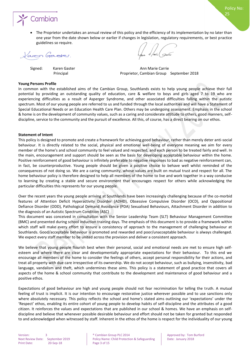

 The Proprietor undertakes an annual review of this policy and the efficiency of its implementation by no later than one year from the date shown below or earlier if changes in legislation, regulatory requirements, or best practice guidelines so require.

Varon Gasso.

Signed: Karen Gaster Ann Marie Carrie Ann Marie Carrie Principal Proprietor, Cambian Group September 2018

Policy No:

25

#### **Young Persons Profile**

In common with the established aims of the Cambian Group, Southlands exists to help young people achieve their full potential by providing an outstanding quality of education, care & welfare to boys and girls aged 7 to 19 who are experiencing difficulties as a result of Asperger Syndrome, and other associated difficulties falling within the autistic spectrum. Most of our young people are referred to us and funded through the local authorities and will have a Statement of Special Educational Needs or an Education Health Care Plan. Others may be undergoing assessment. Emphasis in the school & home is on the development of community values, such as a caring and considerate attitude to others, good manners, selfdiscipline, service to the community and the pursuit of excellence. All this, of course, has a direct bearing on our ethos.

#### **Statement of Intent**

This policy is designed to promote and create a framework for achieving good behaviour, rather than merely deter anti-social behaviour. It is directly related to the social, physical and emotional well-being of everyone meaning we aim for every member of the home's and school community to feel valued and respected, and each person to be treated fairly and well. In the main, encouragement and support should be seen as the basis for developing acceptable behaviour within the home. Positive reinforcement of good behaviour is infinitely preferable to negative responses to bad as negative reinforcement can, in fact, be counterproductive. Young people should be given a positive choice to behave well whilst reminded of the consequences of not doing so. We are a caring community, whose values are built on mutual trust and respect for all. The home behaviour policy is therefore designed to help all members of the home to live and work together in a way conducive to learning by creating a stable and secure environment that encourages respect for others while acknowledging the particular difficulties this represents for our young people.

Over the recent years the young people arriving at Southlands have been increasingly challenging because of the co-morbid features of Attention Deficit Hyperactivity Disorder (ADHD), Obsessive Compulsive Disorder (OCD), and Oppositional Defiance Disorder (ODD), Pathological Demand Avoidance (PDA) Sexualised Behaviours, Attachment Disorder in addition to the diagnosis of an Autistic Spectrum Condition (ASC)

This document was conceived in consultation with the Senior Leadership Team (SLT) Behaviour Management Committee (BMC) and presented during school induction training days. The emphasis of this document is to provide a framework within which staff will make every effort to ensure a consistency of approach to the management of challenging behaviour at Southlands. Good/acceptable behaviour is promoted and rewarded and poor/unacceptable behaviour is always challenged. We expect every staff member to be united across the provision and deliver a consistent approach.

We believe that young people flourish best when their personal, social and emotional needs are met to ensure high selfesteem and where there are clear and developmentally appropriate expectations for their behaviour. To this end we encourage all members of the home to consider the feelings of others, accept personal responsibility for their actions, and treat all property with due care irrespective of its ownership. We do not accept behaviour, such as bullying, insensitivity, bad language, vandalism and theft, which undermines these aims. This policy is a statement of good practice that covers all aspects of the home & school community that contribute to the development and maintenance of good behaviour and a positive ethos.

Expectations of good behaviour are high and young people should not fear recrimination for telling the truth. A mutual feeling of trust is implicit. It is our intention to encourage restorative justice wherever possible and to use sanctions only where absolutely necessary. This policy reflects the school and home's stated aims outlining our 'expectations' under the 'Respect' ethos, enabling its entire cohort of young people to develop habits of self-discipline and the attributes of a good citizen. It reinforces the values and expectations that are published in our school & homes. We have an emphasis on selfdiscipline and believe that whenever possible desirable behaviour and effort should not be taken for granted but responded to and acknowledged when witnessed by staff. Inherent in the ethos of the home is respect for the individuality of our young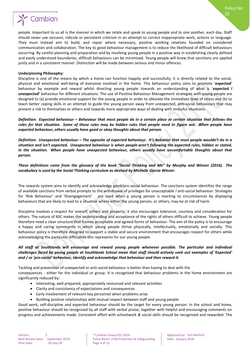

#### **Underpinning Philosophy:**

Discipline is one of the means by which a home can function happily and successfully; it is directly related to the social, physical and emotional well-being of everyone involved in the home. This behaviour policy aims to promote '**expected**' behaviour by example and reward whilst directing young people towards an understanding of what is '**expected** *l*  **unexpected'** behaviour for different situations. The use of Positive Behaviour Management strategies with young people are designed to (a) provide emotional support for the young people in order to alleviate the immediate level of stress and (b) to teach better coping skills in an attempt to guide the young person away from unexpected, anti-social behaviours that may present a risk to themselves or others and towards more appropriate ways of dealing with stressful situations.

*Definition: Expected behaviour – Behaviour that most people do in a certain place or certain situation that follows the rules for that situation. Some of those rules may be hidden rules that people need to figure out. When people have expected behaviour, others usually have good or okay thoughts about that person.*

*Definition: Unexpected behaviour – The opposite of expected behaviour. It's behavior that most people wouldn't do in a situation and isn't expected. Unexpected behaviour is when people aren't following the expected rules, hidden or stated, in the situation. When people have unexpected behaviour, others usually have uncomfortable thoughts about that person.*

*These definitions come from the glossary of the book "Social Thinking and Me" by Murphy and Winner (2016). The vocabulary is used by the Social Thinking curriculum as devised by Michelle Garcia Winner*.

The rewards system aims to identify and acknowledge good/pro-social behaviour. The sanctions system identifies the range of available sanctions from verbal prompts to the withdrawal of privileges for unacceptable *l* anti-social behaviour. Strategies for 'Risk Behaviour' and 'Disengagement' are used when a young person is reacting to circumstances by displaying behaviours that are likely to lead to a situation where either the young person, or others, may be at risk of harm.

Discipline involves a respect for oneself, others and property; it also encourages tolerance, courtesy and consideration for others. The nature of ASC makes the understanding and acceptance of the rights of others difficult to achieve. Young people therefore need a clear structure that frames acceptable and agreed forms of behaviour. The aim of the policy is to encourage a happy and caring community in which young people thrive physically, intellectually, emotionally and socially. This behaviour policy is therefore designed to support a stable and secure environment that encourages respect for others while acknowledging the particular difficulties this represents for our young people.

#### *All staff at Southlands will encourage and reward young people whenever possible. The particular and individual challenges faced by young people at Southlands School mean that staff should actively seek out examples of 'Expected' and / or 'pro-social' behaviour, identify and acknowledge that behaviour and then reward it.*

Tackling and prevention of unexpected or anti-social behaviour is better than having to deal with the

consequences - either for the individual or group. It is recognised that behaviour problems in the home environment are significantly reduced by:

- Interesting, well prepared, appropriately resourced and relevant activities
- Clarity and consistency of expectations and consequences
- Early involvement of relevant key personnel when problems arise
- Building positive relationships with mutual respect between staff and young people.

Good work, self-discipline and expected behaviour should be the target for every young person. In the school and home, positive behaviour should be recognised by all staff with verbal praise, together with helpful and encouraging comments on progress and achievements made. Consistent effort with schoolwork *&* social skills should be recognised and rewarded. The

Policy No:

25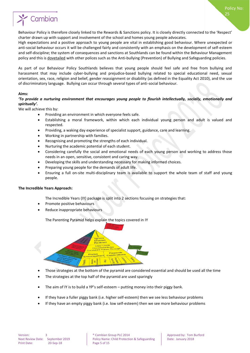25

## Cambian

Behaviour Policy is therefore closely linked to the Rewards & Sanctions policy. It is closely directly connected to the 'Respect' charter drawn up with support and involvement of the school and homes young people advocates.

High expectations and a positive approach to young people are vital in establishing good behaviour. Where unexpected or anti-social behaviour occurs it will be challenged fairly and consistently with an emphasis on the development of self-esteem and self-discipline; the system of consequences and sanctions at Southlands can be found within the Behaviour Management policy and this is dovetailed with other polices such as the Anti-bullying (Prevention) of Bullying and Safeguarding policies.

As part of our Behaviour Policy Southlands believes that young people should feel safe and free from bullying and harassment that may include cyber-bullying and prejudice-based bullying related to special educational need, sexual orientation, sex, race, religion and belief, gender reassignment or disability (as defined in the Equality Act 2010), and the use of discriminatory language. Bullying can occur through several types of anti-social behaviour.

#### **Aims:**

#### *'To provide a nurturing environment that encourages young people to flourish intellectually, socially, emotionally and spiritually'.*

We will achieve this by:

- Providing an environment in which everyone feels safe.
- Establishing a moral framework, within which each individual young person and adult is valued and respected.
- Providing, a waking day experience of specialist support, guidance, care and learning.
- Working in partnership with families.
- Recognising and promoting the strengths of each individual.
- Nurturing the academic potential of each student.
- Considering carefully the social and emotional needs of each young person and working to address those needs in an open, sensitive, consistent and caring way.
- Developing the skills and understanding necessary for making informed choices.
- Preparing young people for the demands of adult life.
- Ensuring a full on-site multi-disciplinary team is available to support the whole team of staff and young people.

#### **The Incredible Years Approach:**

The Incredible Years (IY) package is split into 2 sections focusing on strategies that:

- Promote positive behaviours
- Reduce inappropriate behaviours

The Parenting Pyramid helps explain the topics covered in IY



- Those strategies at the bottom of the pyramid are considered essential and should be used all the time
- The strategies at the top half of the pyramid are used sparingly
- The aim of IY is to build a YP's self-esteem putting money into their piggy bank.
- If they have a fuller piggy bank (i.e. higher self-esteem) then we see less behaviour problems
- If they have an empty piggy bank (i.e. low self-esteem) then we see more behaviour problems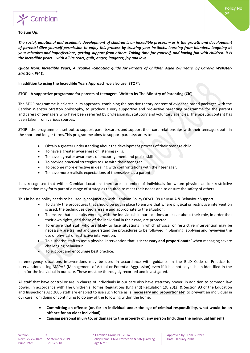

#### **To Sum Up:**

*The social, emotional and academic development of children is an incredible process – as is the growth and development of parents! Give yourself permission to enjoy this process by trusting your instincts, learning from blunders, laughing at your mistakes and imperfections, getting support from others. Taking time for yourself, and having fun with children. It is the incredible years – with all its tears, guilt, anger, laughter, joy and love.*

*Quote from: Incredible Years, A Trouble –Shooting guide for Parents of Children Aged 2-8 Years, by Carolyn Webster-Stratton, PH.D.*

**In addition to using the Incredible Years Approach we also use 'STOP':**

#### **STOP - A supportive programme for parents of teenagers. Written by The Ministry of Parenting (CIC)**

The STOP programme is eclectic in its approach, combining the positive theory content of evidence based packages with the Carolyn Webster Stratton philosophy, to produce a very supportive and pro-active parenting programme for the parents and carers of teenagers who have been referred by professionals, statutory and voluntary agencies. Therapeutic content has been taken from various sources.

STOP - the programme is set out to support parents/carers and support their core relationships with their teenagers both in the short and longer terms.This programme aims to support parents/carers to:

- Obtain a greater understanding about the development process of their teenage child.
- To have a greater awareness of listening skills.
- To have a greater awareness of encouragement and praise skills.
- To provide practical strategies to use with their teenager.
- To become more effective in dealing with confrontations with their teenager.
- To have more realistic expectations of themselves as a parent.

It is recognised that within Cambian Locations there are a number of individuals for whom physical and/or restrictive intervention may form part of a range of strategies required to meet their needs and to ensure the safety of others.

This in house policy needs to be used in conjunction with Cambian Policy OFSCH 08.02 MAPA & Behaviour Support

- To clarify the procedures that should be put in place to ensure that where physical or restrictive intervention is used, the techniques used are safe and appropriate to the situation.
- To ensure that all adults working with the individuals in our locations are clear about their role, in order that their own rights, and those of the individual in their care, are protected.
- To ensure that staff who are likely to face situations in which physical or restrictive intervention may be necessary are trained and understand the procedures to be followed in planning, applying and reviewing the use of physical or restrictive intervention.
- To authorise staff to use a physical intervention that is **'necessary and proportionate'** when managing severe challenging behaviour.
- To support and encourage best practice.

In emergency situations interventions may be used in accordance with guidance in the BILD Code of Practice for Interventions using MAPA® (Management of Actual or Potential Aggression) even if it has not as yet been identified in the plan for the individual in our care. These must be thoroughly recorded and investigated.

All staff that have control or are in charge of individuals in our care also have statutory power, in addition to common law power. In accordance with The Children's Homes Regulations (England) Regulation 19, 20(2) & Section 93 of the Education and Inspections Act 2006 staff are enabled to use such force as is '**necessary and proportionate**' to prevent an individual in our care from doing or continuing to do any of the following within the home:

- **Committing an offence (or, for an individual under the age of criminal responsibility, what would be an offence for an older individual)**
- **Causing personal injury to, or damage to the property of, any person (including the individual himself)**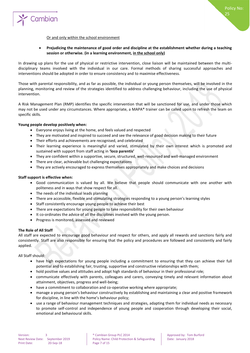

#### Or and only within the school environment

#### **Prejudicing the maintenance of good order and discipline at the establishment whether during a teaching session or otherwise. (in a learning environment, in the school only)**

In drawing up plans for the use of physical or restrictive intervention, close liaison will be maintained between the multidisciplinary teams involved with the individual in our care. Formal methods of sharing successful approaches and interventions should be adopted in order to ensure consistency and to maximise effectiveness.

Those with parental responsibility, and as far as possible, the individual or young person themselves, will be involved in the planning, monitoring and review of the strategies identified to address challenging behaviour, including the use of physical intervention.

A Risk Management Plan (RMP) identifies the specific intervention that will be sanctioned for use, and under those which may not be used under any circumstances. Where appropriate, a MAPA® trainer can be called upon to refresh the team on specific skills.

#### **Young people develop positively when:**

- Everyone enjoys living at the home, and feels valued and respected
- They are motivated and inspired to succeed and see the relevance of good decision making to their future
- Their efforts and achievements are recognised, and celebrated
- Their learning experience is meaningful and varied, stimulated by their own interest which is promoted and sustained with support from staff acting in **'loco parentis'**
- They are confident within a supportive, secure, structured, well-resourced and well-managed environment
- There are clear, achievable but challenging expectations
- They are actively encouraged to express themselves appropriately and make choices and decisions

#### **Staff support is effective when:**

- Good communication is valued by all. We believe that people should communicate with one another with politeness and in ways that show respect for all.
- The needs of the individual leads planning
- There are accessible, flexible and stimulating strategies responding to a young person's learning styles
- Staff consistently encourage young people to achieve their best
- There are expectations for young people to take responsibility for their own behaviour
- It co-ordinates the advice of all the disciplines involved with the young person.
- Progress is monitored, assessed and reviewed

#### **The Role of All Staff**

All staff are expected to encourage good behaviour and respect for others, and apply all rewards and sanctions fairly and consistently. Staff are also responsible for ensuring that the policy and procedures are followed and consistently and fairly applied.

All Staff should:

- have high expectations for young people including a commitment to ensuring that they can achieve their full potential and to establishing fair, trusting, supportive and constructive relationships with them;
- hold positive values and attitudes and adopt high standards of behaviour in their professional role;
- communicate effectively with parents, colleagues and carers, conveying timely and relevant information about attainment, objectives, progress and well-being;
- have a commitment to collaboration and co-operative working where appropriate;
- manage a young person's behaviour constructively by establishing and maintaining a clear and positive framework for discipline, in line with the home's behaviour policy;
- use a range of behaviour management techniques and strategies, adapting them for individual needs as necessary to promote self-control and independence of young people and cooperation through developing their social, emotional and behavioural skills.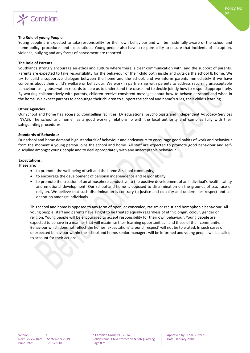

#### **The Role of young People**

Young people are expected to take responsibility for their own behaviour and will be made fully aware of the school and home policy, procedures and expectations. Young people also have a responsibility to ensure that incidents of disruption, violence, bullying and any forms of harassment are reported.

#### **The Role of Parents**

Southlands strongly encourage an ethos and culture where there is clear communication with, and the support of parents. Parents are expected to take responsibility for the behaviour of their child both inside and outside the school & home. We try to build a supportive dialogue between the home and the school, and we inform parents immediately if we have concerns about their child's welfare or behaviour. We work in partnership with parents to address recurring unacceptable behaviour, using observation records to help us to understand the cause and to decide jointly how to respond appropriately. By working collaboratively with parents, children receive consistent messages about how to behave at school and when in the home. We expect parents to encourage their children to support the school and home's rules, their child's learning.

#### **Other Agencies**

Our school and home has access to Counselling facilities, LA educational psychologists and Independent Advocacy Services (NYAS). The school and home has a good working relationship with the local authority and complies fully with their safeguarding procedures.

#### **Standards of Behaviour**

Our school and home demand high standards of behaviour and endeavours to encourage good habits of work and behaviour from the moment a young person joins the school and home. All staff are expected to promote good behaviour and selfdiscipline amongst young people and to deal appropriately with any unacceptable behaviour.

#### **Expectations.**

These are**:**

- to promote the well-being of self and the home & school community;
- to encourage the development of personal independence and responsibility;
- to promote the creation of an atmosphere conductive to the positive development of an individual's health, safety and emotional development. Our school and home is opposed to discrimination on the grounds of sex, race or religion. We believe that such discrimination is contrary to justice and equality and undermines respect and cooperation amongst individuals.

This school and home is opposed to any form of open, or concealed, racism or racist and homophobic behaviour. All young people, staff and parents have a right to be treated equally regardless of ethnic origin, colour, gender or religion. Young people will be encouraged to accept responsibility for their own behaviour. Young people are expected to behave in a manner that will maximise their learning opportunities - and those of their community. Behaviour which does not reflect the homes 'expectations' around 'respect' will not be tolerated. In such cases of unexpected behaviour within the school and home, senior managers will be informed and young people will be called to account for their actions.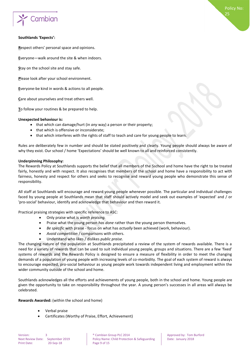

#### **Southlands 'Expects':**

**R**espect others' personal space and opinions.

**E**veryone—walk around the site & when indoors.

**S**tay on the school site and stay safe.

**P**lease look after your school environment.

**E**veryone-be kind in words & actions to all people.

**C**are about yourselves and treat others well.

**T**o follow your routines & be prepared to help.

#### **Unexpected behaviour is:**

- that which can damage/hurt (in *any* way) a person or their property;
- that which is offensive or inconsiderate;
- that which interferes with the rights of staff to teach and care for young people to learn.

Rules are deliberately few in number and should be stated positively and clearly. Young people should always be aware of why they exist. Our school / home 'Expectations' should be well known to all and reinforced consistently.

#### **Underpinning Philosophy:**

The Rewards Policy at Southlands supports the belief that all members of the Sschool and home have the right to be treated fairly, honestly and with respect. It also recognises that members of the school and home have a responsibility to act with fairness, honesty and respect for others and seeks to recognise and reward young people who demonstrate this sense of responsibility.

All staff at Southlands will encourage and reward young people whenever possible. The particular and individual challenges faced by young people at Southlands mean that staff should actively model and seek out examples of 'expected' and / or 'pro-social' behaviour, identify and acknowledge that behaviour and then reward it.

Practical praising strategies with specific reference to ASC:

- Only praise what is *worth praising.*
- Praise what the young person *has done* rather than the young person themselves.
- *Be specific* with praise focus on what has *actually* been achieved (work, behaviour).
- *Avoid competition* / comparisons with others.
- Understand who likes / dislikes *public praise.*

The changing nature of the population at Southlands precipitated a review of the system of rewards available. There is a need for a variety of rewards that can be used to suit individual young people, groups and situations. There are a few 'fixed' systems of rewards and the Rewards Policy is designed to ensure a measure of flexibility in order to meet the changing demands of a population of young people with increasing levels of co-morbidity. The goal of each system of reward is always to encourage expected, pro-social behaviour as young people work towards independent living and employment within the wider community outside of the school and home.

Southlands acknowledges all the efforts and achievements of young people, both in the school and home. Young people are given the opportunity to take on responsibility throughout the year. A young person's successes in all areas will always be celebrated.

**Rewards Awarded:** (within the school and home)

- Verbal praise
- Certificates (Worthy of Praise, Effort, Achievement)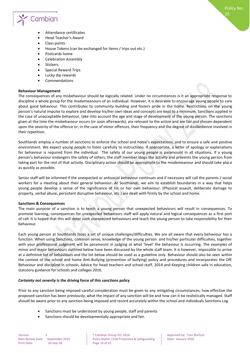

- Attendance certificates
- Head Teacher's Award
- Class points
- House Tokens (can be exchanged for items / trips out etc.)
- Postcards home
- Celebration Assembly
- **Stickers**
- Special Reward Trips
- Lucky dip rewards
- Commendations

#### **Behaviour Management**

The consequences of any misbehaviour should be logically related. Under no circumstances is it an appropriate response to discipline a whole group for the misdemeanours of an individual. However, it is desirable to encourage young people to care about good behaviour. This contributes to community building and fosters pride in the home. Restrictions on the young person's natural impulse to explore and develop his/her own ideas and concepts are kept to a minimum. Sanctions applied in the case of unacceptable behaviour, take into account the age and stage of development of the young person. The sanctions given at the time the misbehaviour occurs (or soon afterwards), are relevant to the action and are fair and chosen dependent upon the severity of the offence or, in the case of minor offences, their frequency and the degree of disobedience involved in their repetition.

Southlands employ a number of sanctions to enforce the school and home's expectations, and to ensure a safe and positive environment. We expect young people to listen carefully to instructions. If appropriate, a letter of apology or explanations for behaviour is required from the individual. The safety of our young people is paramount in all situations. If a young person's behaviour endangers the safety of others, the staff member stops the activity and prevents the young person from taking part for the rest of that activity. Disciplinary action should be appropriate to the misdemeanour and should take place as quickly as possible.

Senior staff will be informed if the unexpected or antisocial behaviour continues and if necessary will call the parents / social workers for a meeting about their general behaviour. At Southlands, we aim to establish boundaries in a way that helps young people develop a sense of the significance of his or her own behaviour. (Physical assault, deliberate damage to property, verbal abuse, persistent disruptive behaviour, etc.) are dealt with firmly by the school and home.

#### **Sanctions & Consequences**

The main purpose of a sanction is to teach a young person that unexpected behaviours will result in consequences. To promote learning, consequences for unexpected behaviours staff will apply natural and logical consequences as a first port of call. It is hoped that this will deter such unexpected behaviours and teach the young person to take responsibility for their behaviour.

Each young person at Southlands faces a set of unique challenges/difficulties. We are all aware that every behaviour has a function. When using Sanctions, common sense, knowledge of the young person and his/her particular difficulties, together with your professional judgment will be paramount in judging at what 'level' the behaviour is occurring. The examples of minor and major behaviours outlined below have been discussed by the whole staff team. It is however, impossible to arrive at a definitive list of behaviours and the list below should be used as a guideline only. Behaviour should also be seen within the context of the school and home Anti-Bullying (prevention of bullying) policy and procedures and incorporates the DfE Behaviour and discipline in schools, Advice for head teachers and school staff, 2014 and Keeping children safe in education, statutory guidance for schools and colleges 2016.

#### *Certainty not severity* **is the driving force of this sanctions policy**

Prior to any sanction being imposed careful consideration must be given to any mitigating circumstances, how effective the proposed sanction has been previously, what the impact of any sanction will be and how can it be realistically managed. Staff should be aware prior to any sanction being imposed and record accurately within the school and individuals Sanctions Log

- Sanctions must be understood by young people, staff and parents
- Sanctions should be developmentally appropriate and fair.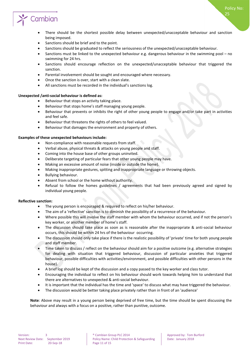Policy No:

25

## Cambian

- There should be the shortest possible delay between unexpected/unacceptable behaviour and sanction being imposed.
- Sanctions should be brief and to the point.
- Sanctions should be graduated to reflect the seriousness of the unexpected/unacceptable behaviour.
- Sanctions must be linked to the unexpected behaviour e.g. dangerous behaviour in the swimming pool no swimming for 24 hrs.
- Sanctions should encourage reflection on the unexpected/unacceptable behaviour that triggered the sanction.
- Parental involvement should be sought and encouraged where necessary.
- Once the sanction is over, start with a clean slate.
- All sanctions must be recorded in the individual's sanctions log.

#### **Unexpected /anti-social behaviour is defined as:**

- Behaviour that stops an activity taking place.
- Behaviour that stops home's staff managing young people.
- Behaviour that prevents or inhibits the right of other young people to engage and/or take part in activities and feel safe.
- Behaviour that threatens the rights of others to feel valued.
- Behaviour that damages the environment and property of others.

#### **Examples of these unexpected behaviours include:**

- Non-compliance with reasonable requests from staff.
- Verbal abuse, physical threats & attacks on young people and staff.
- Coming into the house base of other groups uninvited.
- Deliberate targeting of particular fears that other young people may have.
- Making an excessive amount of noise (inside or outside the home).
- Making inappropriate gestures, spitting and inappropriate language or throwing objects.
- Bullying behaviour.
- Absent from school or the home without authority.
- Refusal to follow the homes guidelines / agreements that had been previously agreed and signed by individual young people.

#### **Reflective sanction:**

- The young person is encouraged & required to reflect on his/her behaviour.
- The aim of a 'reflective' sanction is to diminish the possibility of a recurrence of the behaviour.
- Where possible this will involve the staff member with whom the behaviour occurred, and if not the person's key worker, or another member of home's staff.
- The discussion should take place as soon as is reasonable after the inappropriate & anti-social behaviour occurs, this should be within 24 hrs of the behaviour occurring.
- The discussion should only take place if there is the realistic possibility of 'private' time for both young people and staff member.
- Time taken to discuss / reflect on the behaviour should aim for a positive outcome (e.g. alternative strategies for dealing with situation that triggered behaviour, discussion of particular anxieties that triggered behaviour, possible difficulties with activities/environment, and possible difficulties with other persons in the house).
- A brief log should be kept of the discussion and a copy passed to the key worker and class tutor.
- Encouraging the individual to reflect on his behaviour should work towards helping him to understand that there are alternatives to unexpected & anti-social behaviour.
- It is important that the individual has the time and 'space' to discuss what may have triggered the behaviour.
- The discussion would be better taking place privately rather than in front of an 'audience'

**Note**: Above may result in a young person being deprived of free time, but the time should be spent discussing the behaviour and always with a focus on a positive, rather than punitive, outcome.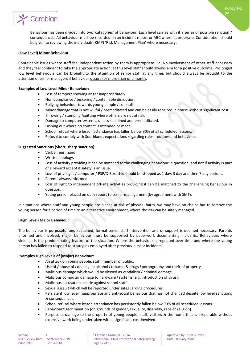

Behaviour has been divided into two 'categories' of behaviour. Each level carries with it a series of possible sanction / consequences. All behaviour must be recorded on an incident report or ABC where appropriate. Consideration should be given to reviewing the individuals (RMP) 'Risk Management Plan' where necessary.

#### **(Low Level) Minor Behaviour**

Containable issues where staff feel independent action by them is appropriate. *i.e.* No involvement of other staff necessary and they feel confident to take the appropriate action; at this level staff should always aim for a positive outcome. Prolonged low level behaviours can be brought to the attention of senior staff at any time, but should always be brought to the attention of senior managers if behaviour occurs for more than one month.

#### **Examples of Low Level Minor Behaviour:**

- Loss of temper/ showing anger inappropriately.
- Non-compliance / bickering / containable disruption.
- Bullying behaviour towards young people /s or staff.
- Minor damage that is not willful / premeditated and can be easily repaired in house without significant cost.
- Throwing / stamping /spitting where others are not at risk.
- Damage to computer systems, unless sustained and premeditated.
- Lashing out where no contact is intended or made.
- School refusal where lesson attendance has fallen below 90% of all scheduled lessons.
- Refusal to comply with Southlands expectations regarding rules, routines and behaviour.

#### **Suggested Sanctions (Short, sharp sanction):**

- Verbal reprimand.
- Written apology.
- Loss of activity providing it can be matched to the challenging behaviour in question, and not if activity is part of a reward except if safety is an issue.
- Loss of privileges / computer / PSP/X-Box, this should be stepped as 1 day, 3 day and then 7 day periods.
- Parents always informed.
- Loss of right to independent off-site activities providing it can be matched to the challenging behaviour in question.
- Young person placed on daily report to senior management (by agreement with SMT).

In situations where staff and young people are placed at risk of physical harm, we may have no choice but to remove the young person for a period of time to an alternative environment, where the risk can be safely managed.

#### **(High Level) Major Behaviour**

The behaviour is purposeful and sustained, formal senior staff intervention and or support is deemed necessary. Parents informed and involved, major behaviour must be supported by paperwork documenting incidents. Behaviours where violence is the predominating feature of the situation. Where the behaviour is repeated over time and where the young person has failed to respond to strategies employed after previous, similar incidents.

#### **Examples High Levels of (Major) Behaviour:**

- An attack on young people, staff, member of public.
- Use of / abuse of *l* dealing in: alcohol *l* tobacco & drugs *l* pornography and theft of property.
- Malicious damage which would be viewed as vandalism / criminal damage.
- Malicious computer damage to hardware *l* systems (e.g. introduction of virus).
- Malicious accusations made against school staff.
- Sexual assault which will be reported under safeguarding procedures.
- Persistent low level inappropriate and anti-social behaviour that has not changed despite low level sanctions & consequences.
- School refusal where lesson attendance has persistently fallen below 90% of all scheduled lessons.
- Behaviour/Discrimination (on grounds of gender, sexuality, disability, race or religion).
- Purposeful damage to the property of young people, staff, visitors & the home that is irreparable without extensive work being undertaken with a significant cost involved.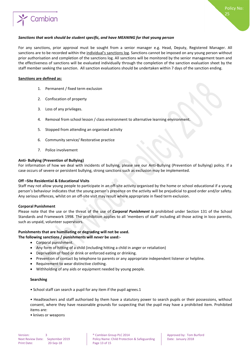

For any sanctions, prior approval must be sought from a senior manager e.g. Head, Deputy, Registered Manager. All sanctions are to be recorded within the individual's sanctions log. Sanctions cannot be imposed on any young person without prior authorisation and completion of the sanctions log. All sanctions will be monitored by the senior management team and the effectiveness of sanctions will be evaluated individually through the completion of the sanction evaluation sheet by the staff member seeking the sanction. All sanction evaluations should be undertaken within 7 days of the sanction ending.

#### **Sanctions are defined as:**

- 1. Permanent / fixed term exclusion
- 2. Confiscation of property
- 3. Loss of any privileges.
- 4. Removal from school lesson / class environment to alternative learning environment.
- 5. Stopped from attending an organised activity
- 6. Community service/ Restorative practice
- 7. Police involvement

#### **Anti- Bullying (Prevention of Bullying)**

For information of how we deal with incidents of bullying, please see our Anti-Bullying (Prevention of bullying) policy. If a case occurs of severe or persistent bullying, strong sanctions such as exclusion may be implemented.

#### **Off –Site Residential & Educational Visits**

Staff may not allow young people to participate in an off-site activity organised by the home or school educational if a young person's behaviour indicates that the young person's presence on the activity will be prejudicial to good order and/or safety. Any serious offences, whilst on an off-site visit may result where appropriate in fixed term exclusion.

#### **Corporal Punishment**

Please note that the use or the threat of the use of *Corporal Punishment is* prohibited under Section 131 of the School Standards and Framework 1998. The prohibition applies to all 'members of staff' including all those acting in loco parentis, such as unpaid, volunteer supervisors.

#### **Punishments that are humiliating or degrading will not be used.**

#### **The following sanctions / punishments will** *never* **be used:-**

- Corporal punishment.
- Any form of hitting of a child (including hitting a child in anger or retaliation)
- Deprivation of food or drink or enforced eating or drinking.
- Prevention of contact by telephone to parents or any appropriate independent listener or helpline.
- Requirement to wear distinctive clothing.
- Withholding of any aids or equipment needed by young people.

#### **Searching**

• School staff can search a pupil for any item if the pupil agrees.1

• Headteachers and staff authorised by them have a statutory power to search pupils or their possessions, without consent, where they have reasonable grounds for suspecting that the pupil may have a prohibited item. Prohibited items are:

• knives or weapons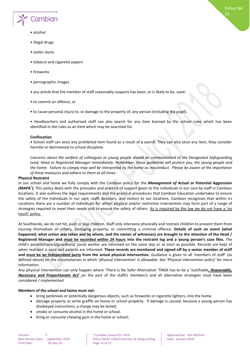

- alcohol
- illegal drugs
- stolen items
- tobacco and cigarette papers
- fireworks
- pornographic images
- any article that the member of staff reasonably suspects has been, or is likely to be, used:
- to commit an offence, or
- to cause personal injury to, or damage to the property of, any person (including the pupil).

• Headteachers and authorised staff can also search for any item banned by the school rules which has been identified in the rules as an item which may be searched for.

#### **Confiscation**

• School staff can seize any prohibited item found as a result of a search. They can also seize any item, they consider harmful or detrimental to school discipline.

*Concerns about the welfare of colleagues or young people should be communicated to the Designated Safeguarding Lead, Head or Registered Manager immediately. Remember, these guidelines will protect you, the young people and the home. Failure to comply may well be interpreted by the home as misconduct. Please be aware of the importance of these measures and adhere to them at all times.*

#### **Physical Restraint**

In our school and home we fully comply with the Cambian policy for the *Management of Actual or Potential Aggression (MAPA® ).* This policy deals with the principles and practice of support given to the individuals in our care by staff in Cambian locations. It also outlines the legal requirements and the practical procedures that Cambian Education undertakes to ensure the safety of the individuals in our care, staff, directors, and visitors to our locations. Cambian recognises that within its Locations there are a number of individuals for whom physical and/or restrictive intervention may form part of a range of strategies required to meet their needs and to ensure the safety of others. As is required by the law we do not have a 'no touch' policy.

At Southlands, we do not hit, push or slap children. Staff only intervene physically and restrain children to prevent them from injuring themselves or others, damaging property, or committing a criminal offence. **Details of such an event (what happened, what action was taken and by whom, and the names of witnesses) are brought to the attention of the Head / Registered Manager and must be recorded within 24 hours into the restraint log and a young person's case files.** The child's parents/carers/guardians/ social worker are informed on the same day or as soon as possible. Records are kept of when restraint is used and parents are informed. **These records are monitored and signed off by a senior member of staff and must be an independent party from the actual physical intervention.** Guidance is given to all 'members of staff' (as defined above) on the circumstances in which 'physical intervention' is allowable. See 'Physical intervention policy' for more information.

Any physical Intervention can only happen where 'There Is No Safer Alternative' TINSA has to be a 'Justifiable*, Reasonable, Necessary and Proportionate Act'* on the part of the staff/s member/s and all alternative strategies must have been considered / implemented

#### **Members of the school and home must not:**

- bring penknives or potentially dangerous objects, such as fireworks or cigarette lighters, into the home.
- damage property or write graffiti on home or school property. If damage is caused, because a young person has disobeyed instructions, a charge may be levied;
- smoke or consume alcohol in the home or school.
- bring or consume chewing gum in the home or school;